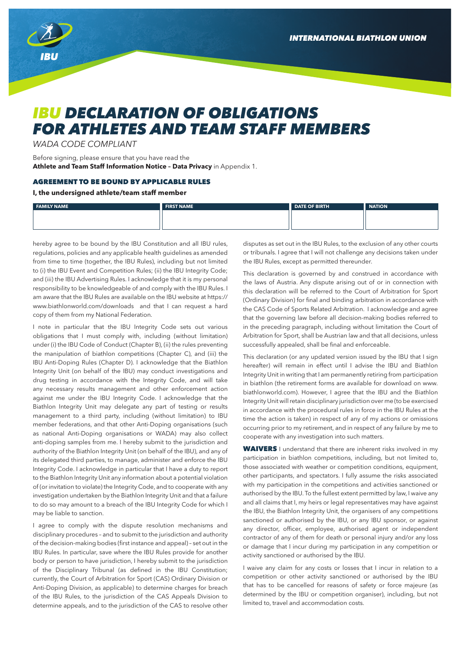

## *IBU DECLARATION OF OBLIGATIONS FOR ATHLETES AND TEAM STAFF MEMBERS*

*WADA CODE COMPLIANT*

Before signing, please ensure that you have read the **Athlete and Team Staff Information Notice – Data Privacy** in Appendix 1.

## AGREEMENT TO BE BOUND BY APPLICABLE RULES

## **I, the undersigned athlete/team staff member**

| <b>FAMILY NAME</b> | <b>FIRST NAME</b> | DATE OF BIRTH | <b>I</b> NATION |
|--------------------|-------------------|---------------|-----------------|
|                    |                   |               |                 |
|                    |                   |               |                 |

hereby agree to be bound by the IBU Constitution and all IBU rules, regulations, policies and any applicable health guidelines as amended from time to time (together, the IBU Rules), including but not limited to (i) the IBU Event and Competition Rules; (ii) the IBU Integrity Code; and (iii) the IBU Advertising Rules. I acknowledge that it is my personal responsibility to be knowledgeable of and comply with the IBU Rules. I am aware that the IBU Rules are available on the IBU website at https:// www.biathlonworld.com/downloads and that I can request a hard copy of them from my National Federation.

I note in particular that the IBU Integrity Code sets out various obligations that I must comply with, including (without limitation) under (i) the IBU Code of Conduct (Chapter B), (ii) the rules preventing the manipulation of biathlon competitions (Chapter C), and (iii) the IBU Anti-Doping Rules (Chapter D). I acknowledge that the Biathlon Integrity Unit (on behalf of the IBU) may conduct investigations and drug testing in accordance with the Integrity Code, and will take any necessary results management and other enforcement action against me under the IBU Integrity Code. I acknowledge that the Biathlon Integrity Unit may delegate any part of testing or results management to a third party, including (without limitation) to IBU member federations, and that other Anti-Doping organisations (such as national Anti-Doping organisations or WADA) may also collect anti-doping samples from me. I hereby submit to the jurisdiction and authority of the Biathlon Integrity Unit (on behalf of the IBU), and any of its delegated third parties, to manage, administer and enforce the IBU Integrity Code. I acknowledge in particular that I have a duty to report to the Biathlon Integrity Unit any information about a potential violation of (or invitation to violate) the Integrity Code, and to cooperate with any investigation undertaken by the Biathlon Integrity Unit and that a failure to do so may amount to a breach of the IBU Integrity Code for which I may be liable to sanction.

I agree to comply with the dispute resolution mechanisms and disciplinary procedures – and to submit to the jurisdiction and authority of the decision-making bodies (first instance and appeal) – set out in the IBU Rules. In particular, save where the IBU Rules provide for another body or person to have jurisdiction, I hereby submit to the jurisdiction of the Disciplinary Tribunal (as defined in the IBU Constitution; currently, the Court of Arbitration for Sport (CAS) Ordinary Division or Anti-Doping Division, as applicable) to determine charges for breach of the IBU Rules, to the jurisdiction of the CAS Appeals Division to determine appeals, and to the jurisdiction of the CAS to resolve other disputes as set out in the IBU Rules, to the exclusion of any other courts or tribunals. I agree that I will not challenge any decisions taken under the IBU Rules, except as permitted thereunder.

This declaration is governed by and construed in accordance with the laws of Austria. Any dispute arising out of or in connection with this declaration will be referred to the Court of Arbitration for Sport (Ordinary Division) for final and binding arbitration in accordance with the CAS Code of Sports Related Arbitration. I acknowledge and agree that the governing law before all decision-making bodies referred to in the preceding paragraph, including without limitation the Court of Arbitration for Sport, shall be Austrian law and that all decisions, unless successfully appealed, shall be final and enforceable.

This declaration (or any updated version issued by the IBU that I sign hereafter) will remain in effect until I advise the IBU and Biathlon Integrity Unit in writing that I am permanently retiring from participation in biathlon (the retirement forms are available for download on www. biathlonworld.com). However, I agree that the IBU and the Biathlon Integrity Unit will retain disciplinary jurisdiction over me (to be exercised in accordance with the procedural rules in force in the IBU Rules at the time the action is taken) in respect of any of my actions or omissions occurring prior to my retirement, and in respect of any failure by me to cooperate with any investigation into such matters.

WAIVERS I understand that there are inherent risks involved in my participation in biathlon competitions, including, but not limited to, those associated with weather or competition conditions, equipment, other participants, and spectators. I fully assume the risks associated with my participation in the competitions and activities sanctioned or authorised by the IBU. To the fullest extent permitted by law, I waive any and all claims that I, my heirs or legal representatives may have against the IBU, the Biathlon Integrity Unit, the organisers of any competitions sanctioned or authorised by the IBU, or any IBU sponsor, or against any director, officer, employee, authorised agent or independent contractor of any of them for death or personal injury and/or any loss or damage that I incur during my participation in any competition or activity sanctioned or authorised by the IBU.

I waive any claim for any costs or losses that I incur in relation to a competition or other activity sanctioned or authorised by the IBU that has to be cancelled for reasons of safety or force majeure (as determined by the IBU or competition organiser), including, but not limited to, travel and accommodation costs.